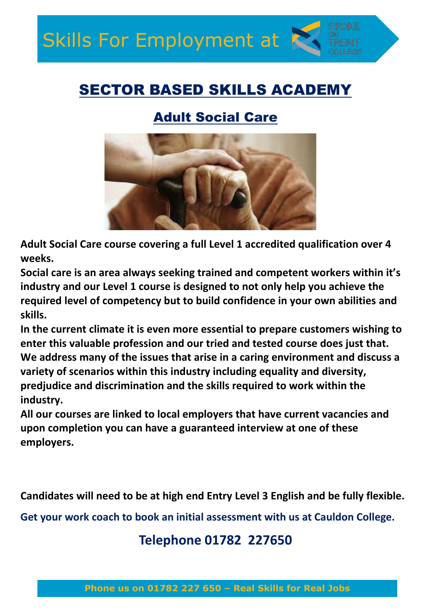## SECTOR BASED SKILLS ACADEMY

## Adult Social Care



**Adult Social Care course covering a full Level 1 accredited qualification over 4 weeks.**

**Social care is an area always seeking trained and competent workers within it's industry and our Level 1 course is designed to not only help you achieve the required level of competency but to build confidence in your own abilities and skills.**

**In the current climate it is even more essential to prepare customers wishing to enter this valuable profession and our tried and tested course does just that. We address many of the issues that arise in a caring environment and discuss a variety of scenarios within this industry including equality and diversity, predjudice and discrimination and the skills required to work within the industry.**

**All our courses are linked to local employers that have current vacancies and upon completion you can have a guaranteed interview at one of these employers.**

**Candidates will need to be at high end Entry Level 3 English and be fully flexible.** 

**Get your work coach to book an initial assessment with us at Cauldon College.**

## **Telephone 01782 227650**